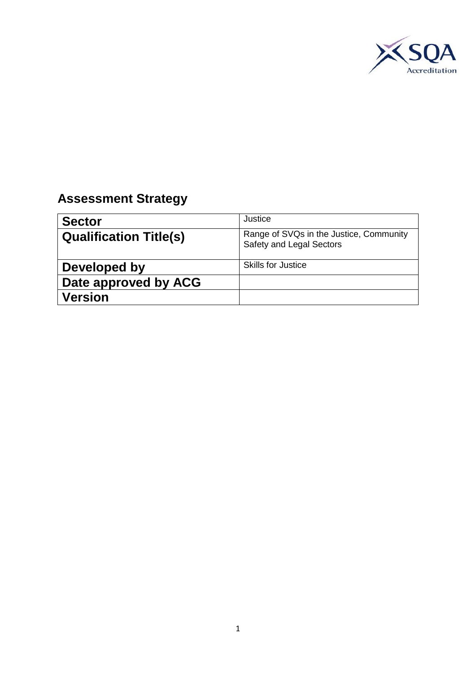

## **Assessment Strategy**

| <b>Sector</b>                 | Justice                                                             |
|-------------------------------|---------------------------------------------------------------------|
| <b>Qualification Title(s)</b> | Range of SVQs in the Justice, Community<br>Safety and Legal Sectors |
| Developed by                  | <b>Skills for Justice</b>                                           |
| Date approved by ACG          |                                                                     |
| <b>Version</b>                |                                                                     |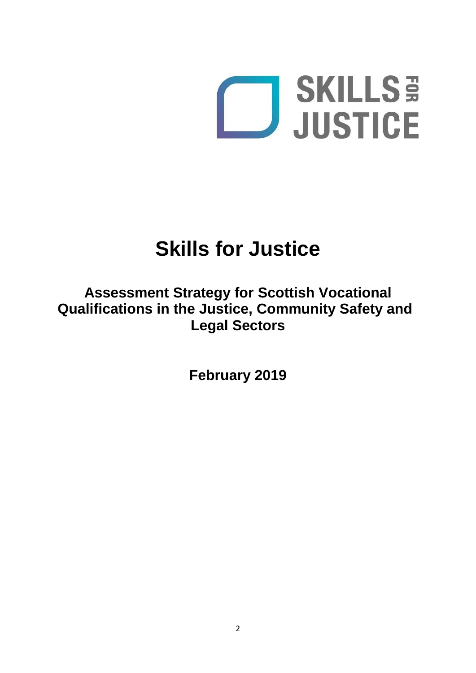

# **Skills for Justice**

## **Assessment Strategy for Scottish Vocational Qualifications in the Justice, Community Safety and Legal Sectors**

**February 2019**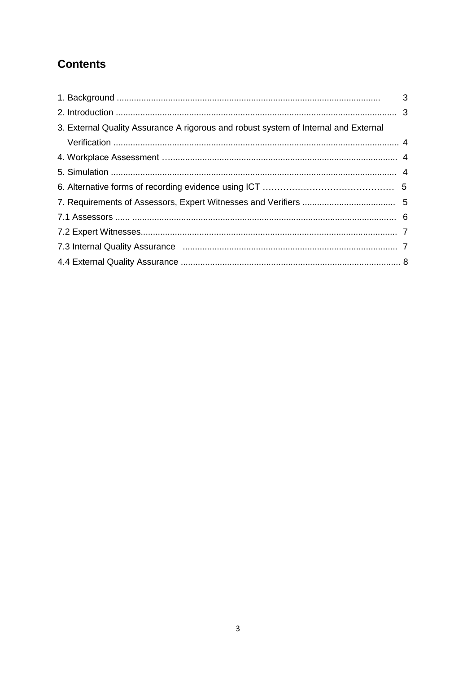## **Contents**

| 3. External Quality Assurance A rigorous and robust system of Internal and External |  |
|-------------------------------------------------------------------------------------|--|
|                                                                                     |  |
|                                                                                     |  |
|                                                                                     |  |
|                                                                                     |  |
|                                                                                     |  |
|                                                                                     |  |
|                                                                                     |  |
|                                                                                     |  |
|                                                                                     |  |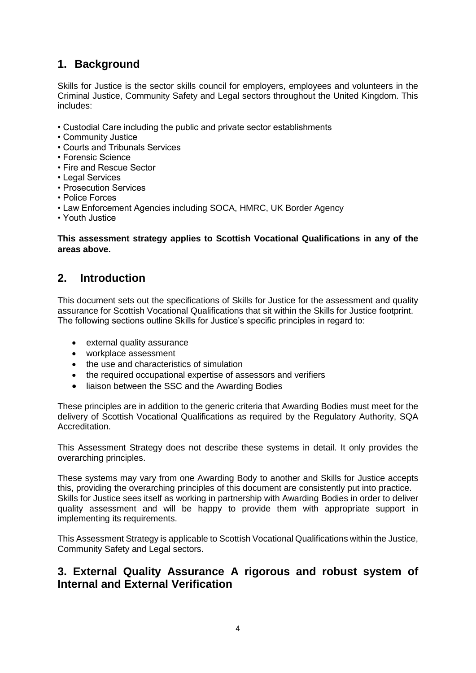## **1. Background**

Skills for Justice is the sector skills council for employers, employees and volunteers in the Criminal Justice, Community Safety and Legal sectors throughout the United Kingdom. This includes:

- Custodial Care including the public and private sector establishments
- Community Justice
- Courts and Tribunals Services
- Forensic Science
- Fire and Rescue Sector
- Legal Services
- Prosecution Services
- Police Forces
- Law Enforcement Agencies including SOCA, HMRC, UK Border Agency
- Youth Justice

#### **This assessment strategy applies to Scottish Vocational Qualifications in any of the areas above.**

## **2. Introduction**

This document sets out the specifications of Skills for Justice for the assessment and quality assurance for Scottish Vocational Qualifications that sit within the Skills for Justice footprint. The following sections outline Skills for Justice's specific principles in regard to:

- external quality assurance
- workplace assessment
- the use and characteristics of simulation
- the required occupational expertise of assessors and verifiers
- liaison between the SSC and the Awarding Bodies

These principles are in addition to the generic criteria that Awarding Bodies must meet for the delivery of Scottish Vocational Qualifications as required by the Regulatory Authority, SQA Accreditation.

This Assessment Strategy does not describe these systems in detail. It only provides the overarching principles.

These systems may vary from one Awarding Body to another and Skills for Justice accepts this, providing the overarching principles of this document are consistently put into practice. Skills for Justice sees itself as working in partnership with Awarding Bodies in order to deliver quality assessment and will be happy to provide them with appropriate support in implementing its requirements.

This Assessment Strategy is applicable to Scottish Vocational Qualifications within the Justice, Community Safety and Legal sectors.

## **3. External Quality Assurance A rigorous and robust system of Internal and External Verification**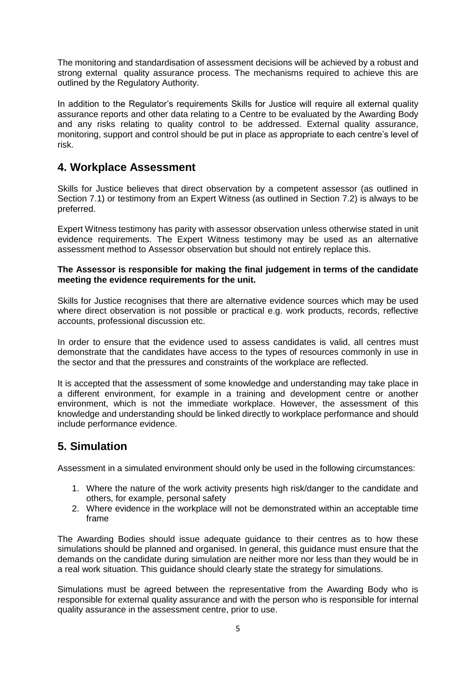The monitoring and standardisation of assessment decisions will be achieved by a robust and strong external quality assurance process. The mechanisms required to achieve this are outlined by the Regulatory Authority.

In addition to the Regulator's requirements Skills for Justice will require all external quality assurance reports and other data relating to a Centre to be evaluated by the Awarding Body and any risks relating to quality control to be addressed. External quality assurance, monitoring, support and control should be put in place as appropriate to each centre's level of risk.

## **4. Workplace Assessment**

Skills for Justice believes that direct observation by a competent assessor (as outlined in Section 7.1) or testimony from an Expert Witness (as outlined in Section 7.2) is always to be preferred.

Expert Witness testimony has parity with assessor observation unless otherwise stated in unit evidence requirements. The Expert Witness testimony may be used as an alternative assessment method to Assessor observation but should not entirely replace this.

#### **The Assessor is responsible for making the final judgement in terms of the candidate meeting the evidence requirements for the unit.**

Skills for Justice recognises that there are alternative evidence sources which may be used where direct observation is not possible or practical e.g. work products, records, reflective accounts, professional discussion etc.

In order to ensure that the evidence used to assess candidates is valid, all centres must demonstrate that the candidates have access to the types of resources commonly in use in the sector and that the pressures and constraints of the workplace are reflected.

It is accepted that the assessment of some knowledge and understanding may take place in a different environment, for example in a training and development centre or another environment, which is not the immediate workplace. However, the assessment of this knowledge and understanding should be linked directly to workplace performance and should include performance evidence.

## **5. Simulation**

Assessment in a simulated environment should only be used in the following circumstances:

- 1. Where the nature of the work activity presents high risk/danger to the candidate and others, for example, personal safety
- 2. Where evidence in the workplace will not be demonstrated within an acceptable time frame

The Awarding Bodies should issue adequate guidance to their centres as to how these simulations should be planned and organised. In general, this guidance must ensure that the demands on the candidate during simulation are neither more nor less than they would be in a real work situation. This guidance should clearly state the strategy for simulations.

Simulations must be agreed between the representative from the Awarding Body who is responsible for external quality assurance and with the person who is responsible for internal quality assurance in the assessment centre, prior to use.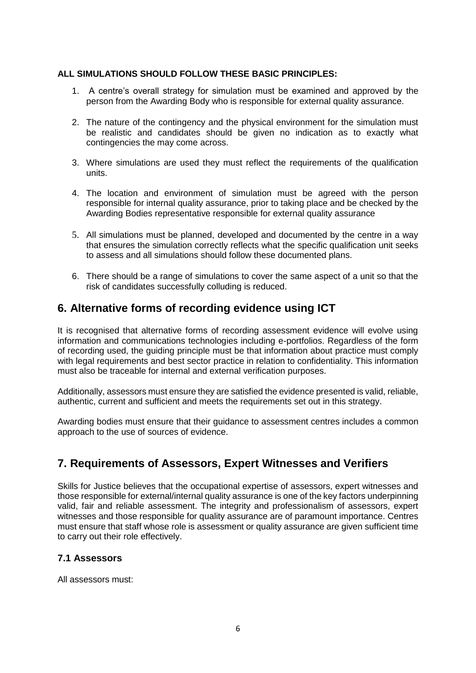#### **ALL SIMULATIONS SHOULD FOLLOW THESE BASIC PRINCIPLES:**

- 1. A centre's overall strategy for simulation must be examined and approved by the person from the Awarding Body who is responsible for external quality assurance.
- 2. The nature of the contingency and the physical environment for the simulation must be realistic and candidates should be given no indication as to exactly what contingencies the may come across.
- 3. Where simulations are used they must reflect the requirements of the qualification units.
- 4. The location and environment of simulation must be agreed with the person responsible for internal quality assurance, prior to taking place and be checked by the Awarding Bodies representative responsible for external quality assurance
- 5. All simulations must be planned, developed and documented by the centre in a way that ensures the simulation correctly reflects what the specific qualification unit seeks to assess and all simulations should follow these documented plans.
- 6. There should be a range of simulations to cover the same aspect of a unit so that the risk of candidates successfully colluding is reduced.

### **6. Alternative forms of recording evidence using ICT**

It is recognised that alternative forms of recording assessment evidence will evolve using information and communications technologies including e-portfolios. Regardless of the form of recording used, the guiding principle must be that information about practice must comply with legal requirements and best sector practice in relation to confidentiality. This information must also be traceable for internal and external verification purposes.

Additionally, assessors must ensure they are satisfied the evidence presented is valid, reliable, authentic, current and sufficient and meets the requirements set out in this strategy.

Awarding bodies must ensure that their guidance to assessment centres includes a common approach to the use of sources of evidence.

## **7. Requirements of Assessors, Expert Witnesses and Verifiers**

Skills for Justice believes that the occupational expertise of assessors, expert witnesses and those responsible for external/internal quality assurance is one of the key factors underpinning valid, fair and reliable assessment. The integrity and professionalism of assessors, expert witnesses and those responsible for quality assurance are of paramount importance. Centres must ensure that staff whose role is assessment or quality assurance are given sufficient time to carry out their role effectively.

#### **7.1 Assessors**

All assessors must: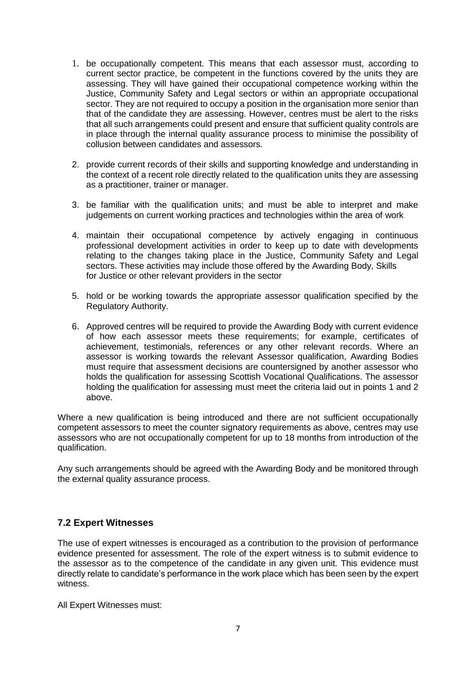- 1. be occupationally competent. This means that each assessor must, according to current sector practice, be competent in the functions covered by the units they are assessing. They will have gained their occupational competence working within the Justice, Community Safety and Legal sectors or within an appropriate occupational sector. They are not required to occupy a position in the organisation more senior than that of the candidate they are assessing. However, centres must be alert to the risks that all such arrangements could present and ensure that sufficient quality controls are in place through the internal quality assurance process to minimise the possibility of collusion between candidates and assessors.
- 2. provide current records of their skills and supporting knowledge and understanding in the context of a recent role directly related to the qualification units they are assessing as a practitioner, trainer or manager.
- 3. be familiar with the qualification units; and must be able to interpret and make judgements on current working practices and technologies within the area of work
- 4. maintain their occupational competence by actively engaging in continuous professional development activities in order to keep up to date with developments relating to the changes taking place in the Justice, Community Safety and Legal sectors. These activities may include those offered by the Awarding Body, Skills for Justice or other relevant providers in the sector
- 5. hold or be working towards the appropriate assessor qualification specified by the Regulatory Authority.
- 6. Approved centres will be required to provide the Awarding Body with current evidence of how each assessor meets these requirements; for example, certificates of achievement, testimonials, references or any other relevant records. Where an assessor is working towards the relevant Assessor qualification, Awarding Bodies must require that assessment decisions are countersigned by another assessor who holds the qualification for assessing Scottish Vocational Qualifications. The assessor holding the qualification for assessing must meet the criteria laid out in points 1 and 2 above.

Where a new qualification is being introduced and there are not sufficient occupationally competent assessors to meet the counter signatory requirements as above, centres may use assessors who are not occupationally competent for up to 18 months from introduction of the qualification.

Any such arrangements should be agreed with the Awarding Body and be monitored through the external quality assurance process.

#### **7.2 Expert Witnesses**

The use of expert witnesses is encouraged as a contribution to the provision of performance evidence presented for assessment. The role of the expert witness is to submit evidence to the assessor as to the competence of the candidate in any given unit. This evidence must directly relate to candidate's performance in the work place which has been seen by the expert witness.

All Expert Witnesses must: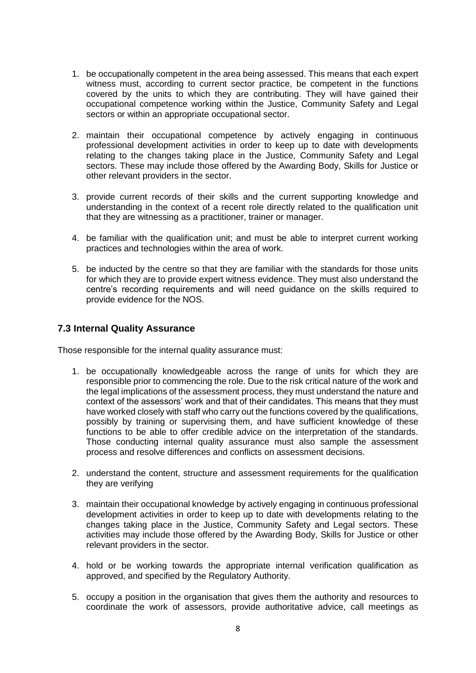- 1. be occupationally competent in the area being assessed. This means that each expert witness must, according to current sector practice, be competent in the functions covered by the units to which they are contributing. They will have gained their occupational competence working within the Justice, Community Safety and Legal sectors or within an appropriate occupational sector.
- 2. maintain their occupational competence by actively engaging in continuous professional development activities in order to keep up to date with developments relating to the changes taking place in the Justice, Community Safety and Legal sectors. These may include those offered by the Awarding Body, Skills for Justice or other relevant providers in the sector.
- 3. provide current records of their skills and the current supporting knowledge and understanding in the context of a recent role directly related to the qualification unit that they are witnessing as a practitioner, trainer or manager.
- 4. be familiar with the qualification unit; and must be able to interpret current working practices and technologies within the area of work.
- 5. be inducted by the centre so that they are familiar with the standards for those units for which they are to provide expert witness evidence. They must also understand the centre's recording requirements and will need guidance on the skills required to provide evidence for the NOS.

#### **7.3 Internal Quality Assurance**

Those responsible for the internal quality assurance must:

- 1. be occupationally knowledgeable across the range of units for which they are responsible prior to commencing the role. Due to the risk critical nature of the work and the legal implications of the assessment process, they must understand the nature and context of the assessors' work and that of their candidates. This means that they must have worked closely with staff who carry out the functions covered by the qualifications, possibly by training or supervising them, and have sufficient knowledge of these functions to be able to offer credible advice on the interpretation of the standards. Those conducting internal quality assurance must also sample the assessment process and resolve differences and conflicts on assessment decisions.
- 2. understand the content, structure and assessment requirements for the qualification they are verifying
- 3. maintain their occupational knowledge by actively engaging in continuous professional development activities in order to keep up to date with developments relating to the changes taking place in the Justice, Community Safety and Legal sectors. These activities may include those offered by the Awarding Body, Skills for Justice or other relevant providers in the sector.
- 4. hold or be working towards the appropriate internal verification qualification as approved, and specified by the Regulatory Authority.
- 5. occupy a position in the organisation that gives them the authority and resources to coordinate the work of assessors, provide authoritative advice, call meetings as